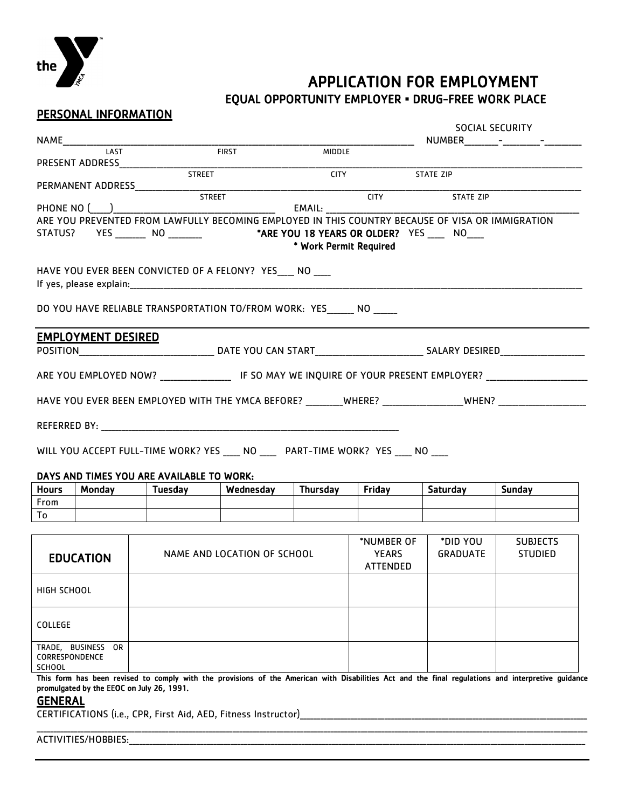

## **APPLICATION FOR EMPLOYMENT**<br>EQUAL OPPORTUNITY EMPLOYER **•** DRUG-FREE WORK PLACE

SOCIAL SECURITY

## PERSONAL INFORMATION

|                                                                                                                |                                                                                                         |                               |           | <b>MIDDLE</b> |               |                                                                                                  |               |
|----------------------------------------------------------------------------------------------------------------|---------------------------------------------------------------------------------------------------------|-------------------------------|-----------|---------------|---------------|--------------------------------------------------------------------------------------------------|---------------|
|                                                                                                                |                                                                                                         |                               |           | <b>CITY</b>   |               | STATE ZIP                                                                                        |               |
|                                                                                                                |                                                                                                         |                               |           |               |               |                                                                                                  |               |
|                                                                                                                |                                                                                                         | <b>STREET</b><br>PHONE NO ( ) |           | EMAIL: EMAIL: | <b>CITY</b>   | STATE ZIP                                                                                        |               |
|                                                                                                                |                                                                                                         |                               |           |               |               | ARE YOU PREVENTED FROM LAWFULLY BECOMING EMPLOYED IN THIS COUNTRY BECAUSE OF VISA OR IMMIGRATION |               |
|                                                                                                                |                                                                                                         |                               |           |               |               |                                                                                                  |               |
|                                                                                                                | STATUS? YES ________ NO _________ *ARE YOU 18 YEARS OR OLDER? YES ____ NO ___<br>* Work Permit Required |                               |           |               |               |                                                                                                  |               |
|                                                                                                                |                                                                                                         |                               |           |               |               |                                                                                                  |               |
| HAVE YOU EVER BEEN CONVICTED OF A FELONY? YES NO                                                               |                                                                                                         |                               |           |               |               |                                                                                                  |               |
|                                                                                                                |                                                                                                         |                               |           |               |               |                                                                                                  |               |
| DO YOU HAVE RELIABLE TRANSPORTATION TO/FROM WORK: YES _____ NO _____                                           |                                                                                                         |                               |           |               |               |                                                                                                  |               |
|                                                                                                                | <b>EMPLOYMENT DESIRED</b>                                                                               |                               |           |               |               |                                                                                                  |               |
|                                                                                                                |                                                                                                         |                               |           |               |               |                                                                                                  |               |
| ARE YOU EMPLOYED NOW? __________________ IF SO MAY WE INQUIRE OF YOUR PRESENT EMPLOYER? _____________________  |                                                                                                         |                               |           |               |               |                                                                                                  |               |
|                                                                                                                |                                                                                                         |                               |           |               |               |                                                                                                  |               |
| HAVE YOU EVER BEEN EMPLOYED WITH THE YMCA BEFORE? ________WHERE? _______________WHEN? ________________________ |                                                                                                         |                               |           |               |               |                                                                                                  |               |
|                                                                                                                |                                                                                                         |                               |           |               |               |                                                                                                  |               |
|                                                                                                                |                                                                                                         |                               |           |               |               |                                                                                                  |               |
| WILL YOU ACCEPT FULL-TIME WORK? YES ____ NO ____ PART-TIME WORK? YES ____ NO ____                              |                                                                                                         |                               |           |               |               |                                                                                                  |               |
| DAYS AND TIMES YOU ARE AVAILABLE TO WORK:                                                                      |                                                                                                         |                               |           |               |               |                                                                                                  |               |
|                                                                                                                |                                                                                                         |                               |           |               |               |                                                                                                  |               |
| <b>Hours</b>                                                                                                   |                                                                                                         | Monday   Tuesday              | Wednesday | Thursday      | <b>Friday</b> | Saturday                                                                                         | <b>Sunday</b> |
| From                                                                                                           |                                                                                                         |                               |           |               |               |                                                                                                  |               |
| To                                                                                                             |                                                                                                         |                               |           |               |               |                                                                                                  |               |

| <b>EDUCATION</b>                                             | NAME AND LOCATION OF SCHOOL | *NUMBER OF<br><b>YEARS</b><br>ATTENDED | *DID YOU<br><b>GRADUATE</b> | <b>SUBJECTS</b><br><b>STUDIED</b> |
|--------------------------------------------------------------|-----------------------------|----------------------------------------|-----------------------------|-----------------------------------|
| HIGH SCHOOL                                                  |                             |                                        |                             |                                   |
| COLLEGE                                                      |                             |                                        |                             |                                   |
| BUSINESS<br>TRADE,<br>OR.<br>CORRESPONDENCE<br><b>SCHOOL</b> |                             |                                        |                             |                                   |

This form has been revised to comply with the provisions of the American with Disabilities Act and the final regulations and interpretive guidance promulgated by the EEOC on July 26, 1991.

\_\_\_\_\_\_\_\_\_\_\_\_\_\_\_\_\_\_\_\_\_\_\_\_\_\_\_\_\_\_\_\_\_\_\_\_\_\_\_\_\_\_\_\_\_\_\_\_\_\_\_\_\_\_\_\_\_\_\_\_\_\_\_\_\_\_\_\_\_\_\_\_\_\_\_\_\_\_\_\_\_\_\_\_\_\_\_\_\_\_\_\_\_\_\_\_\_\_\_\_\_\_\_\_\_\_\_\_\_\_\_\_\_\_\_\_\_\_\_\_\_\_\_\_\_\_\_\_\_\_\_\_\_\_\_\_\_\_\_\_\_\_\_\_\_\_\_\_\_\_\_\_\_\_\_\_\_\_\_\_\_\_\_

## **GENERAL**

CERTIFICATIONS (i.e., CPR, First Aid, AED, Fitness Instructor)\_\_\_\_\_\_\_\_\_\_\_\_\_\_\_\_\_\_\_\_\_\_\_\_\_\_\_\_\_\_\_\_\_\_\_\_\_\_\_\_\_\_\_\_\_\_\_\_\_\_\_\_\_\_\_\_\_\_\_\_\_\_\_\_\_\_\_\_\_\_\_\_\_\_\_\_\_\_\_\_\_\_\_\_\_

ACTIVITIES/HOBBIES:\_\_\_\_\_\_\_\_\_\_\_\_\_\_\_\_\_\_\_\_\_\_\_\_\_\_\_\_\_\_\_\_\_\_\_\_\_\_\_\_\_\_\_\_\_\_\_\_\_\_\_\_\_\_\_\_\_\_\_\_\_\_\_\_\_\_\_\_\_\_\_\_\_\_\_\_\_\_\_\_\_\_\_\_\_\_\_\_\_\_\_\_\_\_\_\_\_\_\_\_\_\_\_\_\_\_\_\_\_\_\_\_\_\_\_\_\_\_\_\_\_\_\_\_\_\_\_\_\_\_\_\_\_\_\_